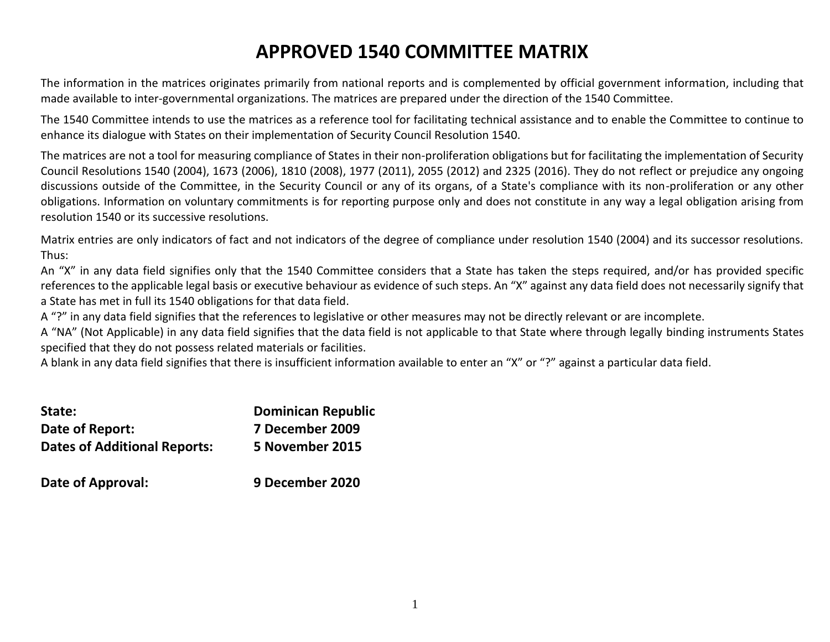# **APPROVED 1540 COMMITTEE MATRIX**

The information in the matrices originates primarily from national reports and is complemented by official government information, including that made available to inter-governmental organizations. The matrices are prepared under the direction of the 1540 Committee.

The 1540 Committee intends to use the matrices as a reference tool for facilitating technical assistance and to enable the Committee to continue to enhance its dialogue with States on their implementation of Security Council Resolution 1540.

The matrices are not a tool for measuring compliance of States in their non-proliferation obligations but for facilitating the implementation of Security Council Resolutions 1540 (2004), 1673 (2006), 1810 (2008), 1977 (2011), 2055 (2012) and 2325 (2016). They do not reflect or prejudice any ongoing discussions outside of the Committee, in the Security Council or any of its organs, of a State's compliance with its non-proliferation or any other obligations. Information on voluntary commitments is for reporting purpose only and does not constitute in any way a legal obligation arising from resolution 1540 or its successive resolutions.

Matrix entries are only indicators of fact and not indicators of the degree of compliance under resolution 1540 (2004) and its successor resolutions. Thus:

An "X" in any data field signifies only that the 1540 Committee considers that a State has taken the steps required, and/or has provided specific references to the applicable legal basis or executive behaviour as evidence of such steps. An "X" against any data field does not necessarily signify that a State has met in full its 1540 obligations for that data field.

A "?" in any data field signifies that the references to legislative or other measures may not be directly relevant or are incomplete.

A "NA" (Not Applicable) in any data field signifies that the data field is not applicable to that State where through legally binding instruments States specified that they do not possess related materials or facilities.

A blank in any data field signifies that there is insufficient information available to enter an "X" or "?" against a particular data field.

| State:                              | <b>Dominican Republic</b> |
|-------------------------------------|---------------------------|
| Date of Report:                     | 7 December 2009           |
| <b>Dates of Additional Reports:</b> | 5 November 2015           |
| <b>B.L. PA.</b> 1                   |                           |

**Date of Approval: 9 December 2020**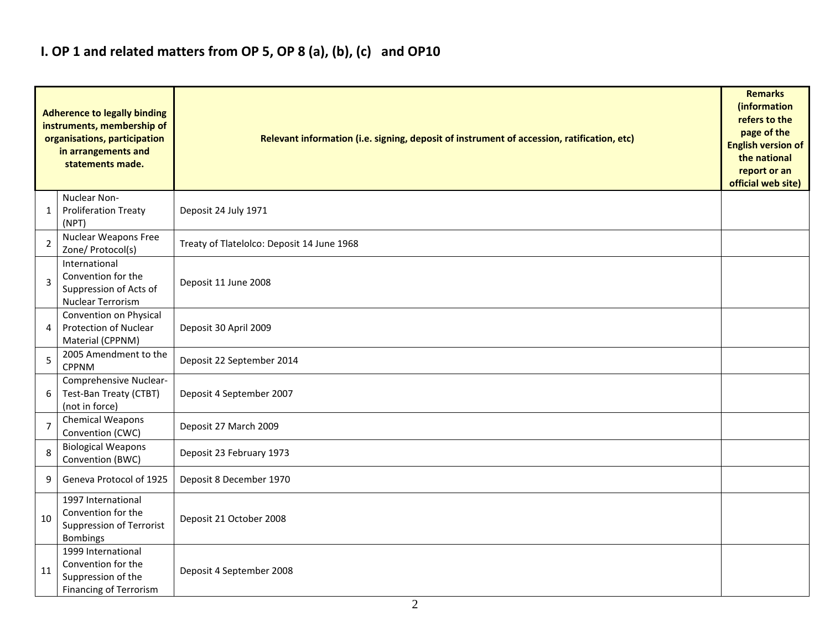## **I. OP 1 and related matters from OP 5, OP 8 (a), (b), (c) and OP10**

|                | <b>Adherence to legally binding</b><br>instruments, membership of<br>organisations, participation<br>in arrangements and<br>statements made. | Relevant information (i.e. signing, deposit of instrument of accession, ratification, etc) |  |  |  |  |  |  |  |  |
|----------------|----------------------------------------------------------------------------------------------------------------------------------------------|--------------------------------------------------------------------------------------------|--|--|--|--|--|--|--|--|
| 1              | Nuclear Non-<br><b>Proliferation Treaty</b><br>(NPT)                                                                                         | Deposit 24 July 1971                                                                       |  |  |  |  |  |  |  |  |
| 2              | <b>Nuclear Weapons Free</b><br>Zone/ Protocol(s)                                                                                             | Treaty of Tlatelolco: Deposit 14 June 1968                                                 |  |  |  |  |  |  |  |  |
| 3              | International<br>Convention for the<br>Suppression of Acts of<br>Nuclear Terrorism                                                           | Deposit 11 June 2008                                                                       |  |  |  |  |  |  |  |  |
| 4              | Convention on Physical<br><b>Protection of Nuclear</b><br>Material (CPPNM)                                                                   | Deposit 30 April 2009                                                                      |  |  |  |  |  |  |  |  |
| 5              | 2005 Amendment to the<br><b>CPPNM</b>                                                                                                        | Deposit 22 September 2014                                                                  |  |  |  |  |  |  |  |  |
| 6              | Comprehensive Nuclear-<br>Test-Ban Treaty (CTBT)<br>(not in force)                                                                           | Deposit 4 September 2007                                                                   |  |  |  |  |  |  |  |  |
| $\overline{7}$ | Chemical Weapons<br>Convention (CWC)                                                                                                         | Deposit 27 March 2009                                                                      |  |  |  |  |  |  |  |  |
| 8              | <b>Biological Weapons</b><br>Convention (BWC)                                                                                                | Deposit 23 February 1973                                                                   |  |  |  |  |  |  |  |  |
| 9              | Geneva Protocol of 1925                                                                                                                      | Deposit 8 December 1970                                                                    |  |  |  |  |  |  |  |  |
| 10             | 1997 International<br>Convention for the<br><b>Suppression of Terrorist</b><br><b>Bombings</b>                                               | Deposit 21 October 2008                                                                    |  |  |  |  |  |  |  |  |
| 11             | 1999 International<br>Convention for the<br>Suppression of the<br><b>Financing of Terrorism</b>                                              | Deposit 4 September 2008                                                                   |  |  |  |  |  |  |  |  |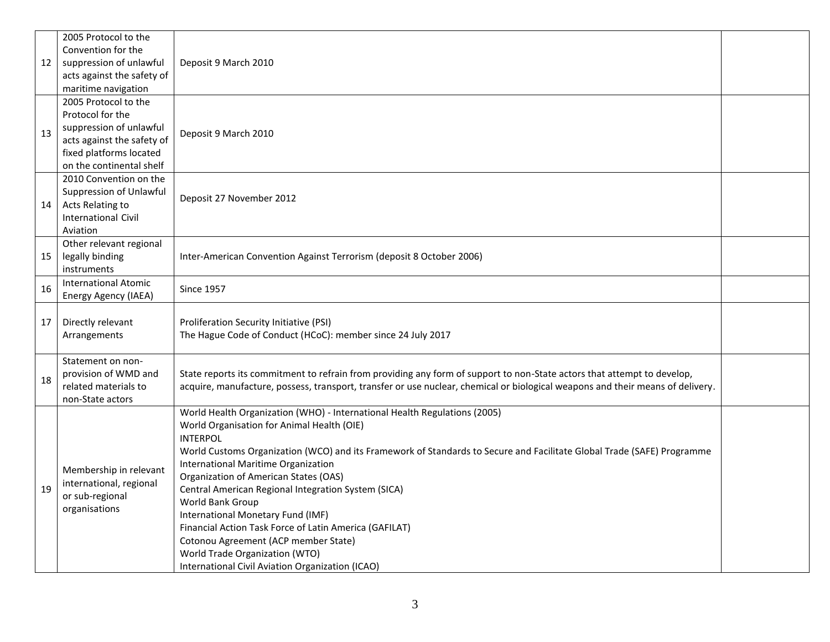|    | 2005 Protocol to the                |                                                                                                                                |  |  |  |  |  |  |  |
|----|-------------------------------------|--------------------------------------------------------------------------------------------------------------------------------|--|--|--|--|--|--|--|
|    | Convention for the                  |                                                                                                                                |  |  |  |  |  |  |  |
| 12 | suppression of unlawful             | Deposit 9 March 2010                                                                                                           |  |  |  |  |  |  |  |
|    | acts against the safety of          |                                                                                                                                |  |  |  |  |  |  |  |
|    | maritime navigation                 |                                                                                                                                |  |  |  |  |  |  |  |
|    | 2005 Protocol to the                |                                                                                                                                |  |  |  |  |  |  |  |
|    | Protocol for the                    |                                                                                                                                |  |  |  |  |  |  |  |
| 13 | suppression of unlawful             | Deposit 9 March 2010                                                                                                           |  |  |  |  |  |  |  |
|    | acts against the safety of          |                                                                                                                                |  |  |  |  |  |  |  |
|    | fixed platforms located             |                                                                                                                                |  |  |  |  |  |  |  |
|    | on the continental shelf            |                                                                                                                                |  |  |  |  |  |  |  |
|    | 2010 Convention on the              |                                                                                                                                |  |  |  |  |  |  |  |
|    | Suppression of Unlawful             | Deposit 27 November 2012                                                                                                       |  |  |  |  |  |  |  |
| 14 | Acts Relating to                    |                                                                                                                                |  |  |  |  |  |  |  |
|    | <b>International Civil</b>          |                                                                                                                                |  |  |  |  |  |  |  |
|    | Aviation<br>Other relevant regional |                                                                                                                                |  |  |  |  |  |  |  |
| 15 | legally binding                     | Inter-American Convention Against Terrorism (deposit 8 October 2006)                                                           |  |  |  |  |  |  |  |
|    | instruments                         |                                                                                                                                |  |  |  |  |  |  |  |
|    | <b>International Atomic</b>         |                                                                                                                                |  |  |  |  |  |  |  |
| 16 | Energy Agency (IAEA)                | <b>Since 1957</b>                                                                                                              |  |  |  |  |  |  |  |
|    |                                     |                                                                                                                                |  |  |  |  |  |  |  |
| 17 | Directly relevant                   | Proliferation Security Initiative (PSI)                                                                                        |  |  |  |  |  |  |  |
|    | Arrangements                        | The Hague Code of Conduct (HCoC): member since 24 July 2017                                                                    |  |  |  |  |  |  |  |
|    |                                     |                                                                                                                                |  |  |  |  |  |  |  |
|    | Statement on non-                   |                                                                                                                                |  |  |  |  |  |  |  |
| 18 | provision of WMD and                | State reports its commitment to refrain from providing any form of support to non-State actors that attempt to develop,        |  |  |  |  |  |  |  |
|    | related materials to                | acquire, manufacture, possess, transport, transfer or use nuclear, chemical or biological weapons and their means of delivery. |  |  |  |  |  |  |  |
|    | non-State actors                    |                                                                                                                                |  |  |  |  |  |  |  |
|    |                                     | World Health Organization (WHO) - International Health Regulations (2005)                                                      |  |  |  |  |  |  |  |
|    |                                     | World Organisation for Animal Health (OIE)<br><b>INTERPOL</b>                                                                  |  |  |  |  |  |  |  |
|    |                                     | World Customs Organization (WCO) and its Framework of Standards to Secure and Facilitate Global Trade (SAFE) Programme         |  |  |  |  |  |  |  |
|    |                                     | International Maritime Organization                                                                                            |  |  |  |  |  |  |  |
|    | Membership in relevant              | Organization of American States (OAS)                                                                                          |  |  |  |  |  |  |  |
| 19 | international, regional             | Central American Regional Integration System (SICA)                                                                            |  |  |  |  |  |  |  |
|    | or sub-regional                     | World Bank Group                                                                                                               |  |  |  |  |  |  |  |
|    | organisations                       | International Monetary Fund (IMF)                                                                                              |  |  |  |  |  |  |  |
|    |                                     | Financial Action Task Force of Latin America (GAFILAT)                                                                         |  |  |  |  |  |  |  |
|    |                                     | Cotonou Agreement (ACP member State)                                                                                           |  |  |  |  |  |  |  |
|    |                                     | World Trade Organization (WTO)                                                                                                 |  |  |  |  |  |  |  |
|    |                                     |                                                                                                                                |  |  |  |  |  |  |  |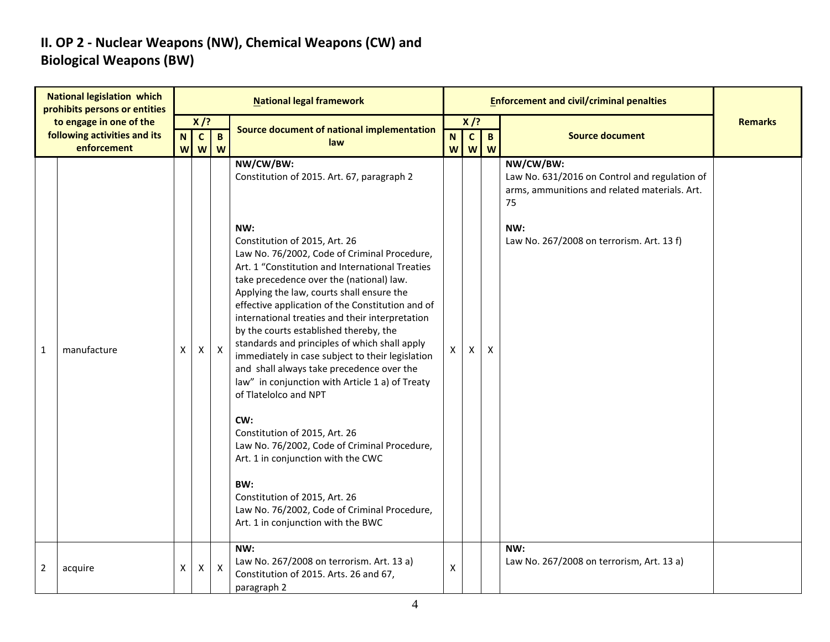### **II. OP 2 - Nuclear Weapons (NW), Chemical Weapons (CW) and Biological Weapons (BW)**

| <b>National legislation which</b><br>prohibits persons or entities     |             |                  |                             |                   | <b>National legal framework</b>                                                                                                                                                                                                                                                                                                                                                                                                                                                                                                                                                                                 |                    |                             |                           | <b>Enforcement and civil/criminal penalties</b>                                                                   |                |
|------------------------------------------------------------------------|-------------|------------------|-----------------------------|-------------------|-----------------------------------------------------------------------------------------------------------------------------------------------------------------------------------------------------------------------------------------------------------------------------------------------------------------------------------------------------------------------------------------------------------------------------------------------------------------------------------------------------------------------------------------------------------------------------------------------------------------|--------------------|-----------------------------|---------------------------|-------------------------------------------------------------------------------------------------------------------|----------------|
| to engage in one of the<br>following activities and its<br>enforcement |             | $\mathbf N$<br>W | $X$ /?<br>$\mathbf{C}$<br>W | $\mathbf{B}$<br>W | Source document of national implementation<br>law                                                                                                                                                                                                                                                                                                                                                                                                                                                                                                                                                               | N<br>W             | $X$ /?<br>$\mathbf{c}$<br>W | $\mathbf{B}$<br>W         | <b>Source document</b>                                                                                            | <b>Remarks</b> |
|                                                                        |             |                  |                             |                   | NW/CW/BW:<br>Constitution of 2015. Art. 67, paragraph 2                                                                                                                                                                                                                                                                                                                                                                                                                                                                                                                                                         |                    |                             |                           | NW/CW/BW:<br>Law No. 631/2016 on Control and regulation of<br>arms, ammunitions and related materials. Art.<br>75 |                |
| $\mathbf 1$                                                            | manufacture | X                | $\pmb{\mathsf{X}}$          | $\mathsf{X}$      | NW:<br>Constitution of 2015, Art. 26<br>Law No. 76/2002, Code of Criminal Procedure,<br>Art. 1 "Constitution and International Treaties<br>take precedence over the (national) law.<br>Applying the law, courts shall ensure the<br>effective application of the Constitution and of<br>international treaties and their interpretation<br>by the courts established thereby, the<br>standards and principles of which shall apply<br>immediately in case subject to their legislation<br>and shall always take precedence over the<br>law" in conjunction with Article 1 a) of Treaty<br>of Tlatelolco and NPT | X                  | Χ                           | $\boldsymbol{\mathsf{X}}$ | NW:<br>Law No. 267/2008 on terrorism. Art. 13 f)                                                                  |                |
|                                                                        |             |                  |                             |                   | CW:<br>Constitution of 2015, Art. 26<br>Law No. 76/2002, Code of Criminal Procedure,<br>Art. 1 in conjunction with the CWC<br>BW:<br>Constitution of 2015, Art. 26<br>Law No. 76/2002, Code of Criminal Procedure,<br>Art. 1 in conjunction with the BWC                                                                                                                                                                                                                                                                                                                                                        |                    |                             |                           |                                                                                                                   |                |
| $\overline{2}$                                                         | acquire     | X                | X                           | $\mathsf X$       | NW:<br>Law No. 267/2008 on terrorism. Art. 13 a)<br>Constitution of 2015. Arts. 26 and 67,<br>paragraph 2                                                                                                                                                                                                                                                                                                                                                                                                                                                                                                       | $\pmb{\mathsf{X}}$ |                             |                           | NW:<br>Law No. 267/2008 on terrorism, Art. 13 a)                                                                  |                |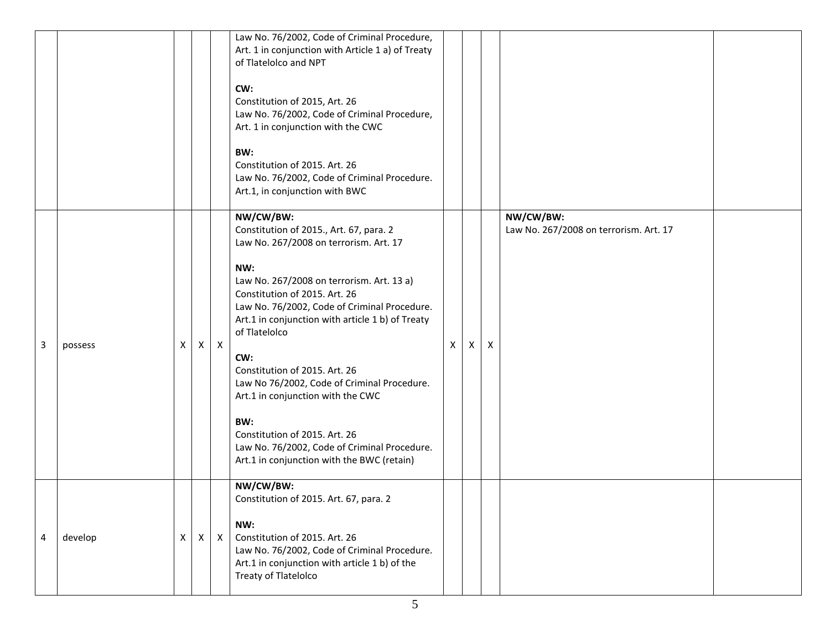|   |         |              |              |              | Law No. 76/2002, Code of Criminal Procedure,<br>Art. 1 in conjunction with Article 1 a) of Treaty<br>of Tlatelolco and NPT<br>CW:<br>Constitution of 2015, Art. 26<br>Law No. 76/2002, Code of Criminal Procedure,<br>Art. 1 in conjunction with the CWC<br>BW:<br>Constitution of 2015. Art. 26<br>Law No. 76/2002, Code of Criminal Procedure.<br>Art.1, in conjunction with BWC                                                                                                                                                                                         |   |    |              |                                                     |  |
|---|---------|--------------|--------------|--------------|----------------------------------------------------------------------------------------------------------------------------------------------------------------------------------------------------------------------------------------------------------------------------------------------------------------------------------------------------------------------------------------------------------------------------------------------------------------------------------------------------------------------------------------------------------------------------|---|----|--------------|-----------------------------------------------------|--|
| 3 | possess | X            | X            | $\mathsf{X}$ | NW/CW/BW:<br>Constitution of 2015., Art. 67, para. 2<br>Law No. 267/2008 on terrorism. Art. 17<br>NW:<br>Law No. 267/2008 on terrorism. Art. 13 a)<br>Constitution of 2015. Art. 26<br>Law No. 76/2002, Code of Criminal Procedure.<br>Art.1 in conjunction with article 1 b) of Treaty<br>of Tlatelolco<br>CW:<br>Constitution of 2015. Art. 26<br>Law No 76/2002, Code of Criminal Procedure.<br>Art.1 in conjunction with the CWC<br>BW:<br>Constitution of 2015. Art. 26<br>Law No. 76/2002, Code of Criminal Procedure.<br>Art.1 in conjunction with the BWC (retain) | X | X. | $\mathsf{x}$ | NW/CW/BW:<br>Law No. 267/2008 on terrorism. Art. 17 |  |
| 4 | develop | $\mathsf{X}$ | $\mathsf{X}$ | $\mathsf{X}$ | NW/CW/BW:<br>Constitution of 2015. Art. 67, para. 2<br>NW:<br>Constitution of 2015. Art. 26<br>Law No. 76/2002, Code of Criminal Procedure.<br>Art.1 in conjunction with article 1 b) of the<br>Treaty of Tlatelolco                                                                                                                                                                                                                                                                                                                                                       |   |    |              |                                                     |  |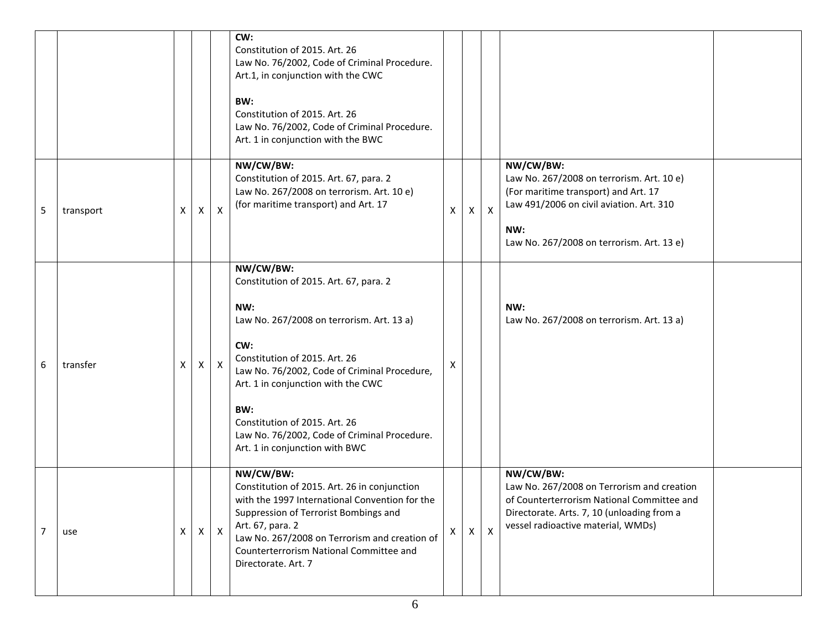|                |           |   |          |                           | CW:<br>Constitution of 2015. Art. 26<br>Law No. 76/2002, Code of Criminal Procedure.<br>Art.1, in conjunction with the CWC<br>BW:<br>Constitution of 2015. Art. 26<br>Law No. 76/2002, Code of Criminal Procedure.<br>Art. 1 in conjunction with the BWC                                                                                                        |              |              |                           |                                                                                                                                                                                                |
|----------------|-----------|---|----------|---------------------------|-----------------------------------------------------------------------------------------------------------------------------------------------------------------------------------------------------------------------------------------------------------------------------------------------------------------------------------------------------------------|--------------|--------------|---------------------------|------------------------------------------------------------------------------------------------------------------------------------------------------------------------------------------------|
| 5              | transport | X | $\times$ | $\boldsymbol{\mathsf{X}}$ | NW/CW/BW:<br>Constitution of 2015. Art. 67, para. 2<br>Law No. 267/2008 on terrorism. Art. 10 e)<br>(for maritime transport) and Art. 17                                                                                                                                                                                                                        | X            | X            | $\boldsymbol{\mathsf{X}}$ | NW/CW/BW:<br>Law No. 267/2008 on terrorism. Art. 10 e)<br>(For maritime transport) and Art. 17<br>Law 491/2006 on civil aviation. Art. 310<br>NW:<br>Law No. 267/2008 on terrorism. Art. 13 e) |
| 6              | transfer  | X | X        | $\mathsf{X}$              | NW/CW/BW:<br>Constitution of 2015. Art. 67, para. 2<br>NW:<br>Law No. 267/2008 on terrorism. Art. 13 a)<br>CW:<br>Constitution of 2015. Art. 26<br>Law No. 76/2002, Code of Criminal Procedure,<br>Art. 1 in conjunction with the CWC<br>BW:<br>Constitution of 2015. Art. 26<br>Law No. 76/2002, Code of Criminal Procedure.<br>Art. 1 in conjunction with BWC | х            |              |                           | NW:<br>Law No. 267/2008 on terrorism. Art. 13 a)                                                                                                                                               |
| $\overline{7}$ | use       | X |          | $x \mid x$                | NW/CW/BW:<br>Constitution of 2015. Art. 26 in conjunction<br>with the 1997 International Convention for the<br>Suppression of Terrorist Bombings and<br>Art. 67, para. 2<br>Law No. 267/2008 on Terrorism and creation of<br>Counterterrorism National Committee and<br>Directorate. Art. 7                                                                     | $\mathsf{X}$ | $\mathsf{X}$ | $\boldsymbol{\mathsf{X}}$ | NW/CW/BW:<br>Law No. 267/2008 on Terrorism and creation<br>of Counterterrorism National Committee and<br>Directorate. Arts. 7, 10 (unloading from a<br>vessel radioactive material, WMDs)      |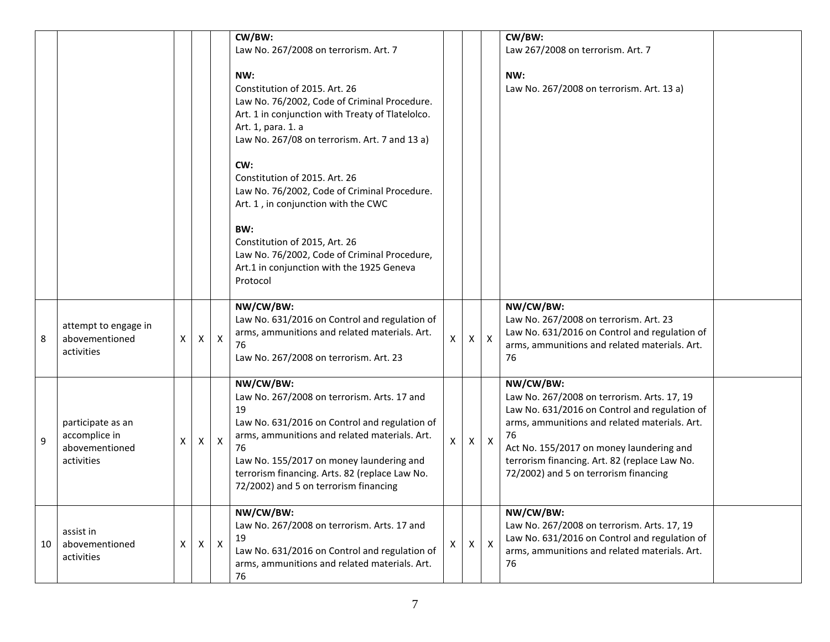|    |                                                                    |              |              |                           | CW/BW:<br>Law No. 267/2008 on terrorism. Art. 7                                                                                                                                                                                                                                                               |              |                |                           | CW/BW:<br>Law 267/2008 on terrorism. Art. 7                                                                                                                                                                                                                                                            |
|----|--------------------------------------------------------------------|--------------|--------------|---------------------------|---------------------------------------------------------------------------------------------------------------------------------------------------------------------------------------------------------------------------------------------------------------------------------------------------------------|--------------|----------------|---------------------------|--------------------------------------------------------------------------------------------------------------------------------------------------------------------------------------------------------------------------------------------------------------------------------------------------------|
|    |                                                                    |              |              |                           | NW:<br>Constitution of 2015. Art. 26<br>Law No. 76/2002, Code of Criminal Procedure.<br>Art. 1 in conjunction with Treaty of Tlatelolco.<br>Art. 1, para. 1. a<br>Law No. 267/08 on terrorism. Art. 7 and 13 a)                                                                                               |              |                |                           | NW:<br>Law No. 267/2008 on terrorism. Art. 13 a)                                                                                                                                                                                                                                                       |
|    |                                                                    |              |              |                           | CW:<br>Constitution of 2015. Art. 26<br>Law No. 76/2002, Code of Criminal Procedure.<br>Art. 1, in conjunction with the CWC<br>BW:                                                                                                                                                                            |              |                |                           |                                                                                                                                                                                                                                                                                                        |
|    |                                                                    |              |              |                           | Constitution of 2015, Art. 26<br>Law No. 76/2002, Code of Criminal Procedure,<br>Art.1 in conjunction with the 1925 Geneva<br>Protocol                                                                                                                                                                        |              |                |                           |                                                                                                                                                                                                                                                                                                        |
| 8  | attempt to engage in<br>abovementioned<br>activities               | X            | X            | X                         | NW/CW/BW:<br>Law No. 631/2016 on Control and regulation of<br>arms, ammunitions and related materials. Art.<br>76<br>Law No. 267/2008 on terrorism. Art. 23                                                                                                                                                   | X            | $\mathsf{X}^-$ | $\pmb{\times}$            | NW/CW/BW:<br>Law No. 267/2008 on terrorism. Art. 23<br>Law No. 631/2016 on Control and regulation of<br>arms, ammunitions and related materials. Art.<br>76                                                                                                                                            |
| 9  | participate as an<br>accomplice in<br>abovementioned<br>activities | X.           | X            | $\boldsymbol{\mathsf{X}}$ | NW/CW/BW:<br>Law No. 267/2008 on terrorism. Arts. 17 and<br>19<br>Law No. 631/2016 on Control and regulation of<br>arms, ammunitions and related materials. Art.<br>76<br>Law No. 155/2017 on money laundering and<br>terrorism financing. Arts. 82 (replace Law No.<br>72/2002) and 5 on terrorism financing | $\mathsf{X}$ | X              | $\boldsymbol{\mathsf{X}}$ | NW/CW/BW:<br>Law No. 267/2008 on terrorism. Arts. 17, 19<br>Law No. 631/2016 on Control and regulation of<br>arms, ammunitions and related materials. Art.<br>76<br>Act No. 155/2017 on money laundering and<br>terrorism financing. Art. 82 (replace Law No.<br>72/2002) and 5 on terrorism financing |
| 10 | assist in<br>abovementioned<br>activities                          | $\mathsf{x}$ | $\mathsf{X}$ | $\mathsf{X}$              | NW/CW/BW:<br>Law No. 267/2008 on terrorism. Arts. 17 and<br>19<br>Law No. 631/2016 on Control and regulation of<br>arms, ammunitions and related materials. Art.<br>76                                                                                                                                        | X            | X              | $\boldsymbol{\mathsf{X}}$ | NW/CW/BW:<br>Law No. 267/2008 on terrorism. Arts. 17, 19<br>Law No. 631/2016 on Control and regulation of<br>arms, ammunitions and related materials. Art.<br>76                                                                                                                                       |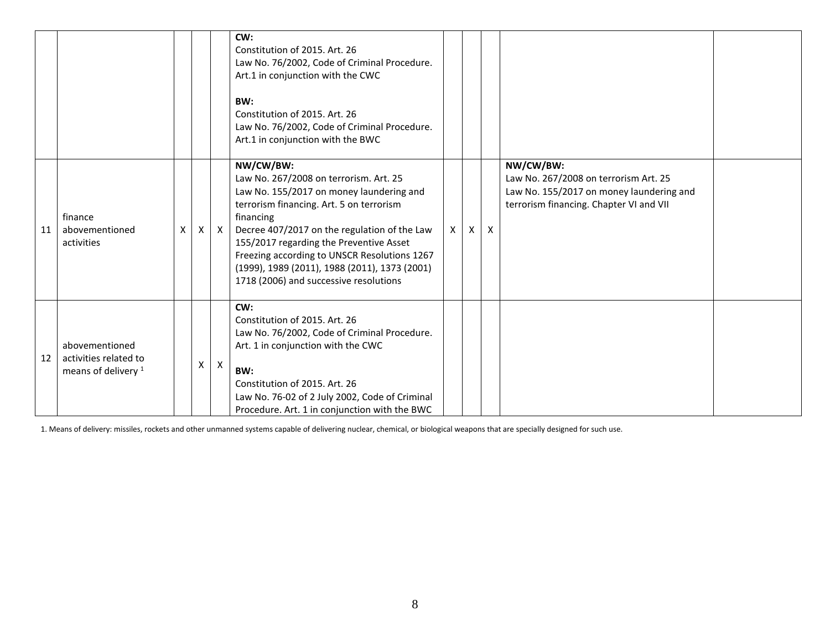|    |                                                                           |   |   |                           | CW:<br>Constitution of 2015. Art. 26<br>Law No. 76/2002, Code of Criminal Procedure.<br>Art.1 in conjunction with the CWC<br>BW:<br>Constitution of 2015. Art. 26<br>Law No. 76/2002, Code of Criminal Procedure.<br>Art.1 in conjunction with the BWC                                                                                                                                         |              |   |   |                                                                                                                                           |  |
|----|---------------------------------------------------------------------------|---|---|---------------------------|------------------------------------------------------------------------------------------------------------------------------------------------------------------------------------------------------------------------------------------------------------------------------------------------------------------------------------------------------------------------------------------------|--------------|---|---|-------------------------------------------------------------------------------------------------------------------------------------------|--|
| 11 | finance<br>abovementioned<br>activities                                   | X | Χ | $\mathsf{X}$              | NW/CW/BW:<br>Law No. 267/2008 on terrorism. Art. 25<br>Law No. 155/2017 on money laundering and<br>terrorism financing. Art. 5 on terrorism<br>financing<br>Decree 407/2017 on the regulation of the Law<br>155/2017 regarding the Preventive Asset<br>Freezing according to UNSCR Resolutions 1267<br>(1999), 1989 (2011), 1988 (2011), 1373 (2001)<br>1718 (2006) and successive resolutions | $\mathsf{X}$ | X | X | NW/CW/BW:<br>Law No. 267/2008 on terrorism Art. 25<br>Law No. 155/2017 on money laundering and<br>terrorism financing. Chapter VI and VII |  |
| 12 | abovementioned<br>activities related to<br>means of delivery <sup>1</sup> |   | Χ | $\boldsymbol{\mathsf{X}}$ | CW:<br>Constitution of 2015. Art. 26<br>Law No. 76/2002, Code of Criminal Procedure.<br>Art. 1 in conjunction with the CWC<br>BW:<br>Constitution of 2015. Art. 26<br>Law No. 76-02 of 2 July 2002, Code of Criminal<br>Procedure. Art. 1 in conjunction with the BWC                                                                                                                          |              |   |   |                                                                                                                                           |  |

1. Means of delivery: missiles, rockets and other unmanned systems capable of delivering nuclear, chemical, or biological weapons that are specially designed for such use.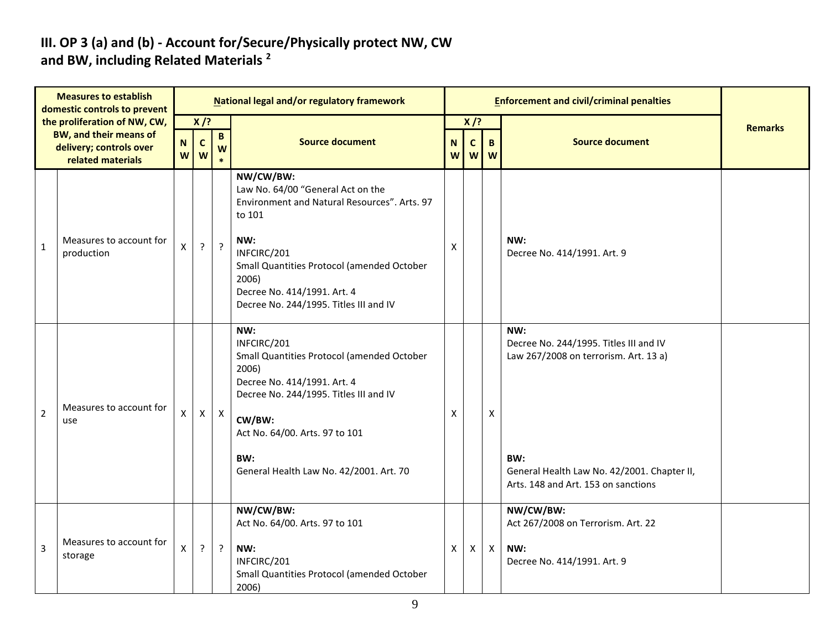#### **III. OP 3 (a) and (b) - Account for/Secure/Physically protect NW, CW and BW, including Related Materials <sup>2</sup>**

|                | <b>Measures to establish</b><br>domestic controls to prevent  |                                          |                  |                 | National legal and/or regulatory framework                                                                                                                                                                                                                     |                           |                   |              | <b>Enforcement and civil/criminal penalties</b>                                                                                                                                     |                |
|----------------|---------------------------------------------------------------|------------------------------------------|------------------|-----------------|----------------------------------------------------------------------------------------------------------------------------------------------------------------------------------------------------------------------------------------------------------------|---------------------------|-------------------|--------------|-------------------------------------------------------------------------------------------------------------------------------------------------------------------------------------|----------------|
|                | the proliferation of NW, CW,<br><b>BW, and their means of</b> |                                          | $X$ /?           | $\, {\bf B} \,$ |                                                                                                                                                                                                                                                                |                           | $X$ /?            |              |                                                                                                                                                                                     | <b>Remarks</b> |
|                | delivery; controls over<br>related materials                  | $\mathsf N$<br>$\boldsymbol{\mathsf{W}}$ | $\mathbf c$<br>W | W<br>sk.        | <b>Source document</b>                                                                                                                                                                                                                                         | N<br>W                    | $\mathsf{C}$<br>W | B<br>W       | <b>Source document</b>                                                                                                                                                              |                |
| $\mathbf{1}$   | Measures to account for<br>production                         | X                                        | $\ddot{?}$       | $\cdot$         | NW/CW/BW:<br>Law No. 64/00 "General Act on the<br>Environment and Natural Resources". Arts. 97<br>to 101<br>NW:<br>INFCIRC/201<br>Small Quantities Protocol (amended October<br>2006)<br>Decree No. 414/1991. Art. 4<br>Decree No. 244/1995. Titles III and IV | X                         |                   |              | NW:<br>Decree No. 414/1991. Art. 9                                                                                                                                                  |                |
| $\overline{2}$ | Measures to account for<br>use                                | X                                        | $\mathsf{X}$     | $\mathsf{X}$    | NW:<br>INFCIRC/201<br>Small Quantities Protocol (amended October<br>2006)<br>Decree No. 414/1991. Art. 4<br>Decree No. 244/1995. Titles III and IV<br>CW/BW:<br>Act No. 64/00. Arts. 97 to 101<br>BW:<br>General Health Law No. 42/2001. Art. 70               | $\boldsymbol{\mathsf{X}}$ |                   | X            | NW:<br>Decree No. 244/1995. Titles III and IV<br>Law 267/2008 on terrorism. Art. 13 a)<br>BW:<br>General Health Law No. 42/2001. Chapter II,<br>Arts. 148 and Art. 153 on sanctions |                |
| 3              | Measures to account for<br>storage                            | X                                        | $\overline{?}$   | $\overline{?}$  | NW/CW/BW:<br>Act No. 64/00. Arts. 97 to 101<br>NW:<br>INFCIRC/201<br>Small Quantities Protocol (amended October<br>2006)                                                                                                                                       | X                         | $\mathsf{X}$      | $\mathsf{X}$ | NW/CW/BW:<br>Act 267/2008 on Terrorism. Art. 22<br>NW:<br>Decree No. 414/1991. Art. 9                                                                                               |                |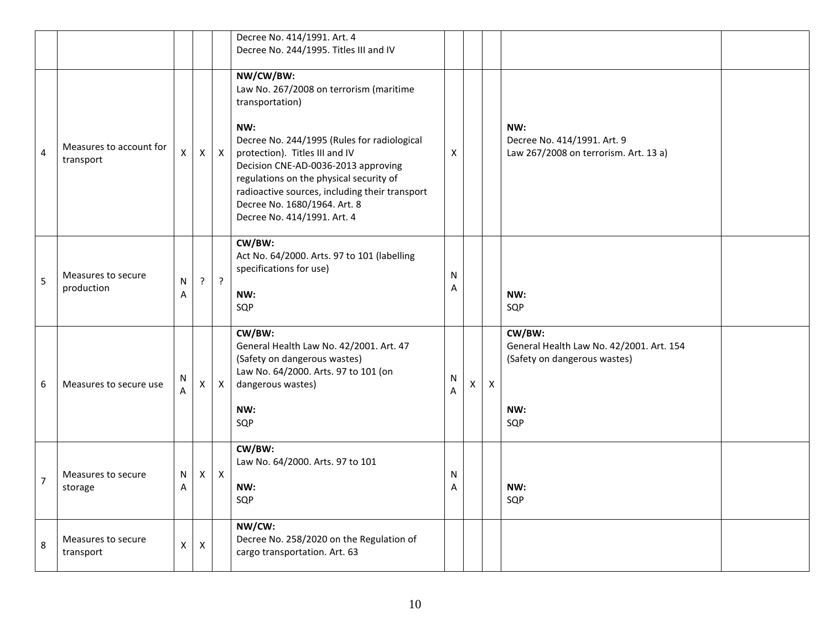|                |                                      |                   |              |                | Decree No. 414/1991. Art. 4<br>Decree No. 244/1995. Titles III and IV                                                                                                                                                                                                                                                                                              |        |                |              |                                                                                                  |  |
|----------------|--------------------------------------|-------------------|--------------|----------------|--------------------------------------------------------------------------------------------------------------------------------------------------------------------------------------------------------------------------------------------------------------------------------------------------------------------------------------------------------------------|--------|----------------|--------------|--------------------------------------------------------------------------------------------------|--|
| 4              | Measures to account for<br>transport | X                 | $\mathsf{X}$ | $\mathsf{X}$   | NW/CW/BW:<br>Law No. 267/2008 on terrorism (maritime<br>transportation)<br>NW:<br>Decree No. 244/1995 (Rules for radiological<br>protection). Titles III and IV<br>Decision CNE-AD-0036-2013 approving<br>regulations on the physical security of<br>radioactive sources, including their transport<br>Decree No. 1680/1964. Art. 8<br>Decree No. 414/1991. Art. 4 | X      |                |              | NW:<br>Decree No. 414/1991. Art. 9<br>Law 267/2008 on terrorism. Art. 13 a)                      |  |
| 5              | Measures to secure<br>production     | $\mathsf{N}$<br>Α | $\mathbf{P}$ | $\overline{?}$ | CW/BW:<br>Act No. 64/2000. Arts. 97 to 101 (labelling<br>specifications for use)<br>NW:<br>SQP                                                                                                                                                                                                                                                                     | N<br>Α |                |              | NW:<br>SQP                                                                                       |  |
| 6              | Measures to secure use               | N<br>A            | $\mathsf{X}$ | $\mathsf{X}$   | CW/BW:<br>General Health Law No. 42/2001. Art. 47<br>(Safety on dangerous wastes)<br>Law No. 64/2000. Arts. 97 to 101 (on<br>dangerous wastes)<br>NW:<br>SQP                                                                                                                                                                                                       | N<br>A | $\mathsf{X}^-$ | $\pmb{\chi}$ | CW/BW:<br>General Health Law No. 42/2001. Art. 154<br>(Safety on dangerous wastes)<br>NW:<br>SQP |  |
| $\overline{7}$ | Measures to secure<br>storage        | ${\sf N}$<br>A    | $\mathsf{x}$ | $\mathsf{X}$   | CW/BW:<br>Law No. 64/2000. Arts. 97 to 101<br>NW:<br>SQP                                                                                                                                                                                                                                                                                                           | N<br>Α |                |              | NW:<br>SQP                                                                                       |  |
| 8              | Measures to secure<br>transport      | X                 | $\mathsf{X}$ |                | NW/CW:<br>Decree No. 258/2020 on the Regulation of<br>cargo transportation. Art. 63                                                                                                                                                                                                                                                                                |        |                |              |                                                                                                  |  |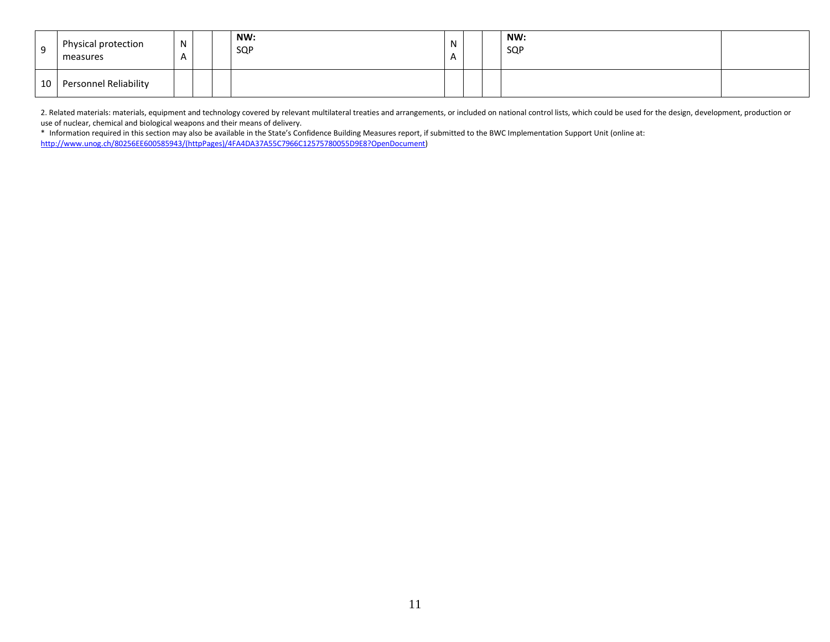| q  | Physical protection<br>measures | N<br>$\mathsf{A}$ |  | NW:<br>SQP | $\mathbf{v}$<br>$\mathbf{u}$ |  | NW:<br>SQP |  |
|----|---------------------------------|-------------------|--|------------|------------------------------|--|------------|--|
| 10 | Personnel Reliability           |                   |  |            |                              |  |            |  |

2. Related materials: materials, equipment and technology covered by relevant multilateral treaties and arrangements, or included on national control lists, which could be used for the design, development, production or use of nuclear, chemical and biological weapons and their means of delivery.

\* Information required in this section may also be available in the State's Confidence Building Measures report, if submitted to the BWC Implementation Support Unit (online at: [http://www.unog.ch/80256EE600585943/\(httpPages\)/4FA4DA37A55C7966C12575780055D9E8?OpenDocument\)](http://www.unog.ch/80256EE600585943/(httpPages)/4FA4DA37A55C7966C12575780055D9E8?OpenDocument)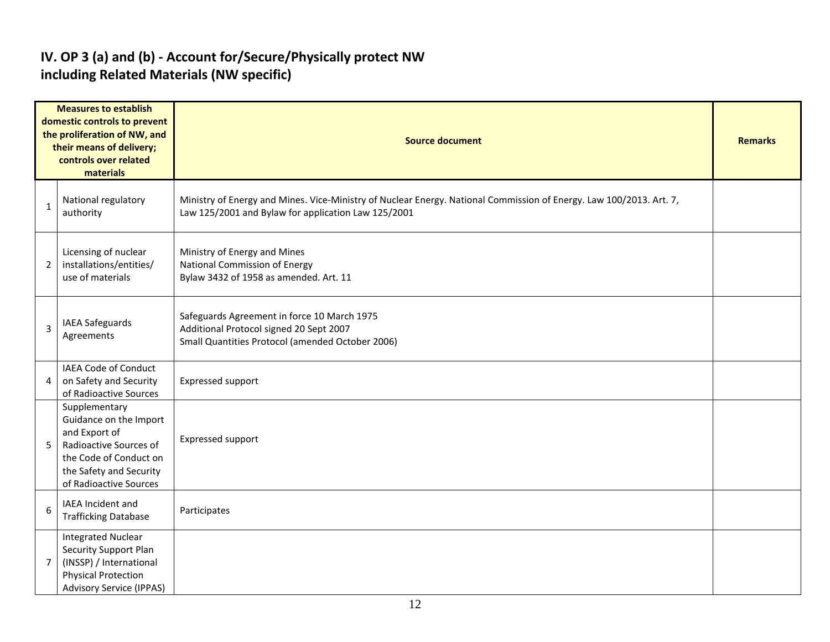### **IV. OP 3 (a) and (b) - Account for/Secure/Physically protect NW including Related Materials (NW specific)**

|                | <b>Measures to establish</b><br>domestic controls to prevent<br>the proliferation of NW, and<br>their means of delivery;<br>controls over related<br>materials    | <b>Source document</b>                                                                                                                                                     |  |  |  |  |  |  |  |
|----------------|-------------------------------------------------------------------------------------------------------------------------------------------------------------------|----------------------------------------------------------------------------------------------------------------------------------------------------------------------------|--|--|--|--|--|--|--|
| 1              | National regulatory<br>authority                                                                                                                                  | Ministry of Energy and Mines. Vice-Ministry of Nuclear Energy. National Commission of Energy. Law 100/2013. Art. 7,<br>Law 125/2001 and Bylaw for application Law 125/2001 |  |  |  |  |  |  |  |
| $\overline{2}$ | Licensing of nuclear<br>installations/entities/<br>use of materials                                                                                               | Ministry of Energy and Mines<br>National Commission of Energy<br>Bylaw 3432 of 1958 as amended. Art. 11                                                                    |  |  |  |  |  |  |  |
| 3              | IAEA Safeguards<br>Agreements                                                                                                                                     | Safeguards Agreement in force 10 March 1975<br>Additional Protocol signed 20 Sept 2007<br>Small Quantities Protocol (amended October 2006)                                 |  |  |  |  |  |  |  |
| 4              | IAEA Code of Conduct<br>on Safety and Security<br>of Radioactive Sources                                                                                          | Expressed support                                                                                                                                                          |  |  |  |  |  |  |  |
| 5              | Supplementary<br>Guidance on the Import<br>and Export of<br>Radioactive Sources of<br>the Code of Conduct on<br>the Safety and Security<br>of Radioactive Sources | <b>Expressed support</b>                                                                                                                                                   |  |  |  |  |  |  |  |
| 6              | IAEA Incident and<br><b>Trafficking Database</b>                                                                                                                  | Participates                                                                                                                                                               |  |  |  |  |  |  |  |
| $\overline{7}$ | <b>Integrated Nuclear</b><br>Security Support Plan<br>(INSSP) / International<br><b>Physical Protection</b><br><b>Advisory Service (IPPAS)</b>                    |                                                                                                                                                                            |  |  |  |  |  |  |  |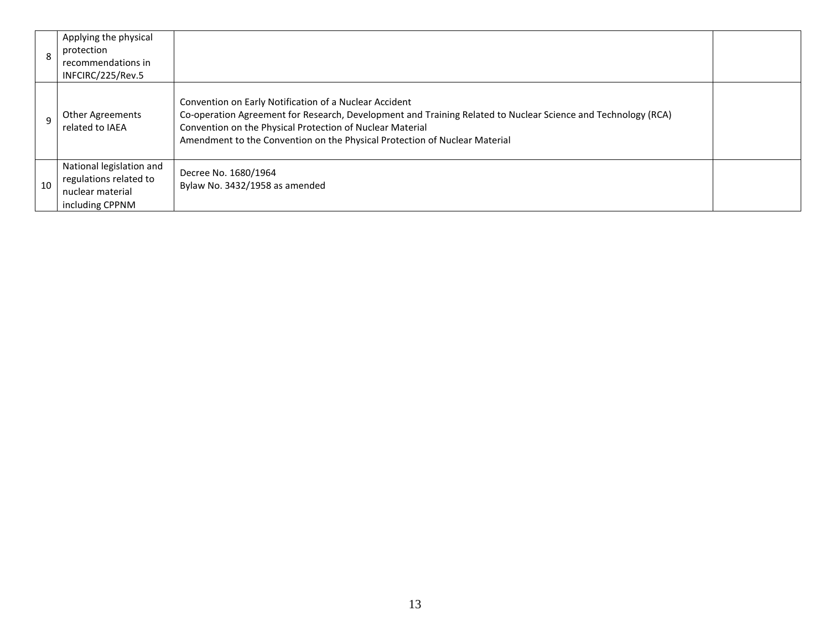| $\mathbf{8}$ | Applying the physical<br>protection<br>recommendations in<br>INFCIRC/225/Rev.5            |                                                                                                                                                                                                                                                                                                                    |  |
|--------------|-------------------------------------------------------------------------------------------|--------------------------------------------------------------------------------------------------------------------------------------------------------------------------------------------------------------------------------------------------------------------------------------------------------------------|--|
|              | <b>Other Agreements</b><br>related to IAEA                                                | Convention on Early Notification of a Nuclear Accident<br>Co-operation Agreement for Research, Development and Training Related to Nuclear Science and Technology (RCA)<br>Convention on the Physical Protection of Nuclear Material<br>Amendment to the Convention on the Physical Protection of Nuclear Material |  |
| 10           | National legislation and<br>regulations related to<br>nuclear material<br>including CPPNM | Decree No. 1680/1964<br>Bylaw No. 3432/1958 as amended                                                                                                                                                                                                                                                             |  |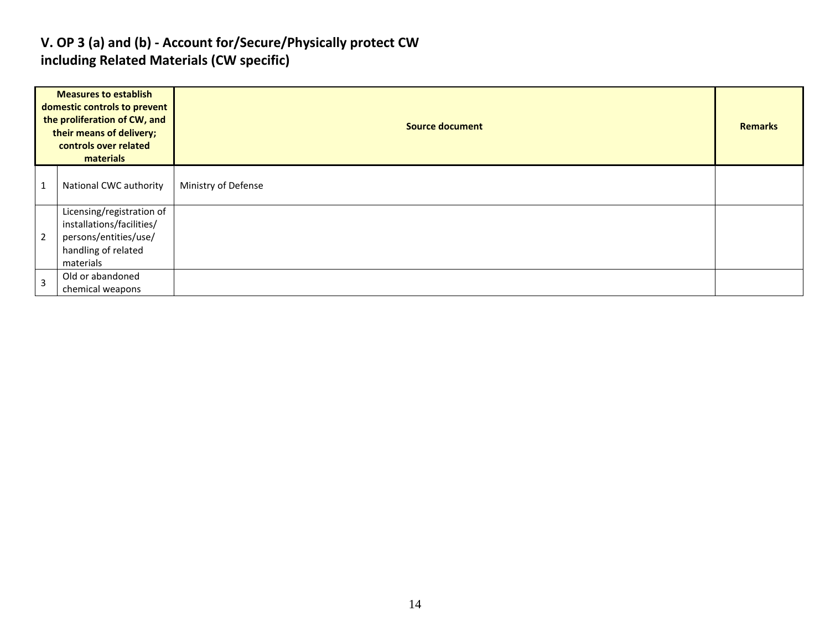### **V. OP 3 (a) and (b) - Account for/Secure/Physically protect CW including Related Materials (CW specific)**

|                | <b>Measures to establish</b><br>domestic controls to prevent<br>the proliferation of CW, and<br>their means of delivery;<br>controls over related<br>materials | <b>Source document</b> |  |  |  |  |  |
|----------------|----------------------------------------------------------------------------------------------------------------------------------------------------------------|------------------------|--|--|--|--|--|
|                | National CWC authority                                                                                                                                         | Ministry of Defense    |  |  |  |  |  |
| $\overline{2}$ | Licensing/registration of<br>installations/facilities/<br>persons/entities/use/<br>handling of related<br>materials                                            |                        |  |  |  |  |  |
| $\overline{3}$ | Old or abandoned<br>chemical weapons                                                                                                                           |                        |  |  |  |  |  |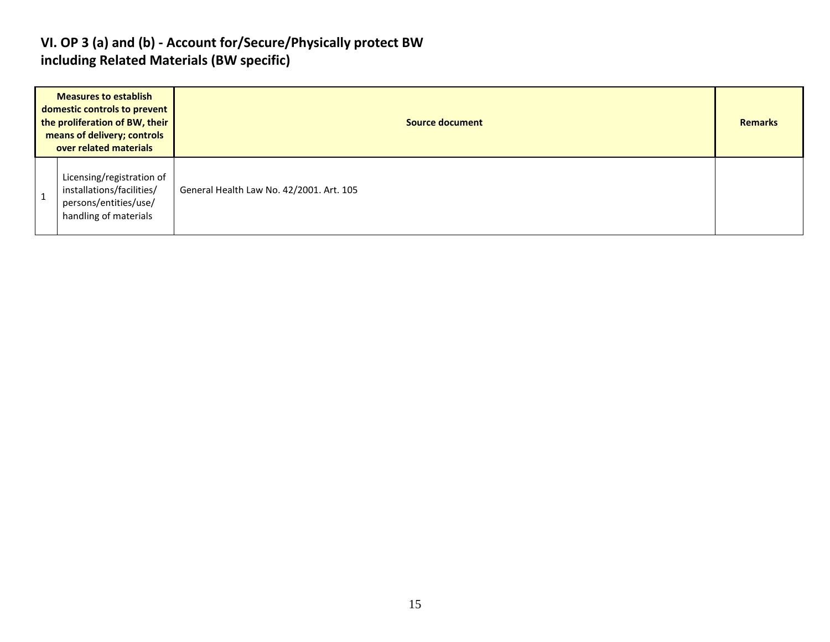### **VI. OP 3 (a) and (b) - Account for/Secure/Physically protect BW including Related Materials (BW specific)**

| <b>Measures to establish</b><br>domestic controls to prevent<br>the proliferation of BW, their<br>means of delivery; controls<br>over related materials |                                                                                                          | <b>Source document</b>                   |  |  |  |  |
|---------------------------------------------------------------------------------------------------------------------------------------------------------|----------------------------------------------------------------------------------------------------------|------------------------------------------|--|--|--|--|
|                                                                                                                                                         | Licensing/registration of<br>installations/facilities/<br>persons/entities/use/<br>handling of materials | General Health Law No. 42/2001. Art. 105 |  |  |  |  |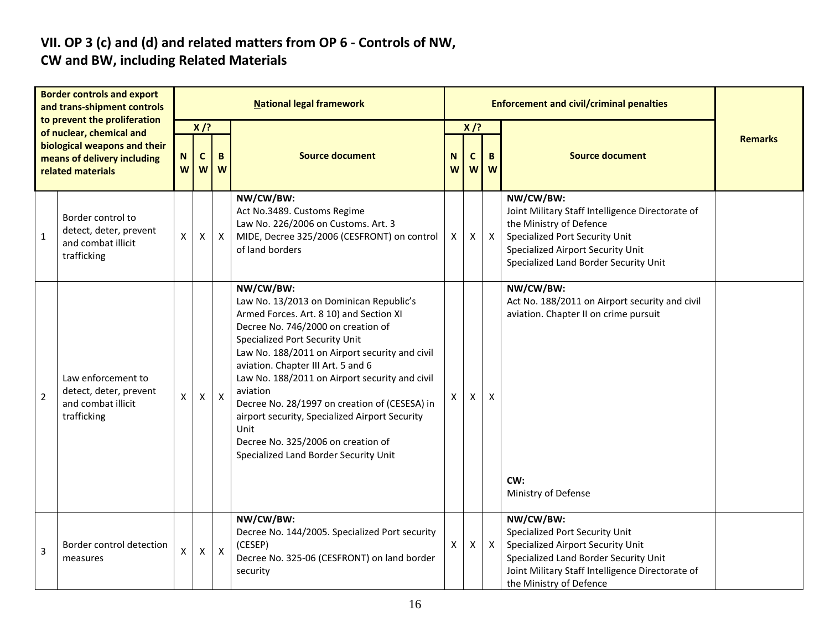# **VII. OP 3 (c) and (d) and related matters from OP 6 - Controls of NW,**

## **CW and BW, including Related Materials**

| <b>Border controls and export</b><br>and trans-shipment controls |                                                                                                                                              | <b>National legal framework</b> |                                      |                |                                                                                                                                                                                                                                                                                                                                                                                                                                                                                                                         |              |                  | <b>Enforcement and civil/criminal penalties</b> |                                                                                                                                                                                                          |                |
|------------------------------------------------------------------|----------------------------------------------------------------------------------------------------------------------------------------------|---------------------------------|--------------------------------------|----------------|-------------------------------------------------------------------------------------------------------------------------------------------------------------------------------------------------------------------------------------------------------------------------------------------------------------------------------------------------------------------------------------------------------------------------------------------------------------------------------------------------------------------------|--------------|------------------|-------------------------------------------------|----------------------------------------------------------------------------------------------------------------------------------------------------------------------------------------------------------|----------------|
|                                                                  | to prevent the proliferation<br>of nuclear, chemical and<br>biological weapons and their<br>means of delivery including<br>related materials |                                 | $X$ /?<br>B<br>N<br>C<br>W<br>W<br>W |                | <b>Source document</b>                                                                                                                                                                                                                                                                                                                                                                                                                                                                                                  | N<br>W       | $X$ /?<br>C<br>W | B<br>W                                          | <b>Source document</b>                                                                                                                                                                                   | <b>Remarks</b> |
| 1                                                                | Border control to<br>detect, deter, prevent<br>and combat illicit<br>trafficking                                                             | X                               | X                                    | $\mathsf{X}$   | NW/CW/BW:<br>Act No.3489. Customs Regime<br>Law No. 226/2006 on Customs. Art. 3<br>MIDE, Decree 325/2006 (CESFRONT) on control<br>of land borders                                                                                                                                                                                                                                                                                                                                                                       | Χ            | Χ                | $\mathsf{X}$                                    | NW/CW/BW:<br>Joint Military Staff Intelligence Directorate of<br>the Ministry of Defence<br>Specialized Port Security Unit<br>Specialized Airport Security Unit<br>Specialized Land Border Security Unit |                |
| $\overline{2}$                                                   | Law enforcement to<br>detect, deter, prevent<br>and combat illicit<br>trafficking                                                            | $\boldsymbol{\mathsf{x}}$       | Χ                                    | $\pmb{\times}$ | NW/CW/BW:<br>Law No. 13/2013 on Dominican Republic's<br>Armed Forces. Art. 8 10) and Section XI<br>Decree No. 746/2000 on creation of<br>Specialized Port Security Unit<br>Law No. 188/2011 on Airport security and civil<br>aviation. Chapter III Art. 5 and 6<br>Law No. 188/2011 on Airport security and civil<br>aviation<br>Decree No. 28/1997 on creation of (CESESA) in<br>airport security, Specialized Airport Security<br>Unit<br>Decree No. 325/2006 on creation of<br>Specialized Land Border Security Unit | X            | X                | $\boldsymbol{\mathsf{X}}$                       | NW/CW/BW:<br>Act No. 188/2011 on Airport security and civil<br>aviation. Chapter II on crime pursuit<br>CW:<br>Ministry of Defense                                                                       |                |
| 3                                                                | Border control detection<br>measures                                                                                                         | $\mathsf{X}$                    | $\mathsf{X}$                         | $\pmb{\times}$ | NW/CW/BW:<br>Decree No. 144/2005. Specialized Port security<br>(CESEP)<br>Decree No. 325-06 (CESFRONT) on land border<br>security                                                                                                                                                                                                                                                                                                                                                                                       | $\mathsf{x}$ | X                | $\mathsf{X}$                                    | NW/CW/BW:<br>Specialized Port Security Unit<br>Specialized Airport Security Unit<br>Specialized Land Border Security Unit<br>Joint Military Staff Intelligence Directorate of<br>the Ministry of Defence |                |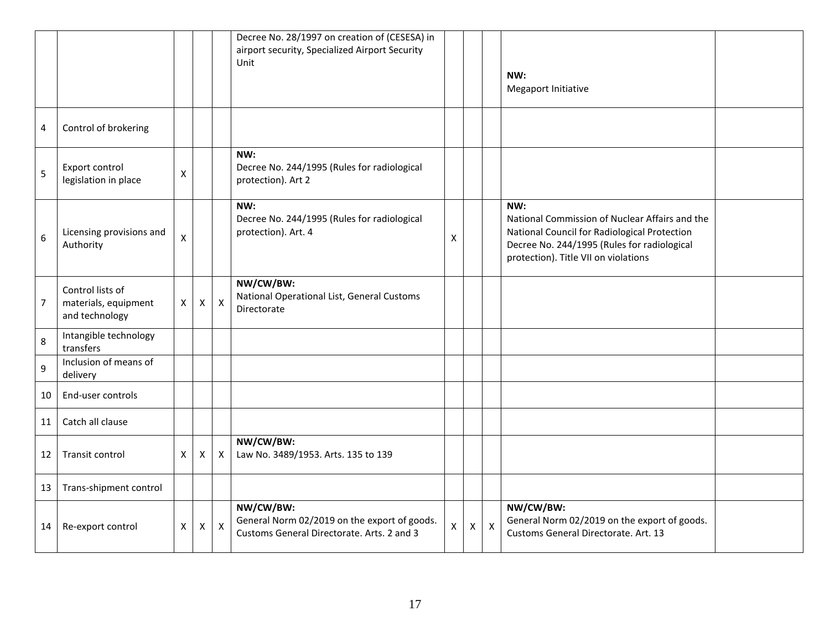|                 |                                                            |   |                    |                           | Decree No. 28/1997 on creation of (CESESA) in<br>airport security, Specialized Airport Security<br>Unit |                |                |              | NW:<br>Megaport Initiative                                                                                                                                                                   |  |
|-----------------|------------------------------------------------------------|---|--------------------|---------------------------|---------------------------------------------------------------------------------------------------------|----------------|----------------|--------------|----------------------------------------------------------------------------------------------------------------------------------------------------------------------------------------------|--|
| $\overline{4}$  | Control of brokering                                       |   |                    |                           |                                                                                                         |                |                |              |                                                                                                                                                                                              |  |
| 5               | Export control<br>legislation in place                     | Χ |                    |                           | NW:<br>Decree No. 244/1995 (Rules for radiological<br>protection). Art 2                                |                |                |              |                                                                                                                                                                                              |  |
| $6\phantom{1}6$ | Licensing provisions and<br>Authority                      | X |                    |                           | NW:<br>Decree No. 244/1995 (Rules for radiological<br>protection). Art. 4                               | $\pmb{\times}$ |                |              | NW:<br>National Commission of Nuclear Affairs and the<br>National Council for Radiological Protection<br>Decree No. 244/1995 (Rules for radiological<br>protection). Title VII on violations |  |
| $\overline{7}$  | Control lists of<br>materials, equipment<br>and technology | X | $\pmb{\mathsf{X}}$ | $\pmb{\times}$            | NW/CW/BW:<br>National Operational List, General Customs<br>Directorate                                  |                |                |              |                                                                                                                                                                                              |  |
| 8               | Intangible technology<br>transfers                         |   |                    |                           |                                                                                                         |                |                |              |                                                                                                                                                                                              |  |
| $\overline{9}$  | Inclusion of means of<br>delivery                          |   |                    |                           |                                                                                                         |                |                |              |                                                                                                                                                                                              |  |
| 10              | End-user controls                                          |   |                    |                           |                                                                                                         |                |                |              |                                                                                                                                                                                              |  |
| 11              | Catch all clause                                           |   |                    |                           |                                                                                                         |                |                |              |                                                                                                                                                                                              |  |
| 12              | Transit control                                            | X | $\mathsf{X}$       | $\mathsf{X}$              | NW/CW/BW:<br>Law No. 3489/1953. Arts. 135 to 139                                                        |                |                |              |                                                                                                                                                                                              |  |
| 13              | Trans-shipment control                                     |   |                    |                           |                                                                                                         |                |                |              |                                                                                                                                                                                              |  |
| 14              | Re-export control                                          | X | $\pmb{\mathsf{X}}$ | $\boldsymbol{\mathsf{X}}$ | NW/CW/BW:<br>General Norm 02/2019 on the export of goods.<br>Customs General Directorate. Arts. 2 and 3 | $\mathsf X$    | $\mathsf{X}^-$ | $\mathsf{x}$ | NW/CW/BW:<br>General Norm 02/2019 on the export of goods.<br>Customs General Directorate. Art. 13                                                                                            |  |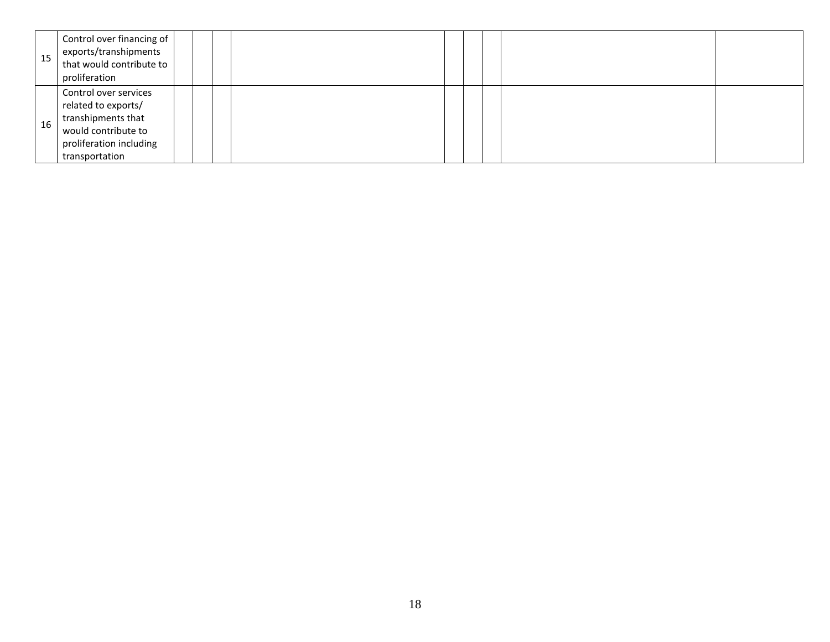| 15 | Control over financing of<br>exports/transhipments<br>that would contribute to<br>proliferation                                        |  |  |  |  |  |
|----|----------------------------------------------------------------------------------------------------------------------------------------|--|--|--|--|--|
| 16 | Control over services<br>related to exports/<br>transhipments that<br>would contribute to<br>proliferation including<br>transportation |  |  |  |  |  |